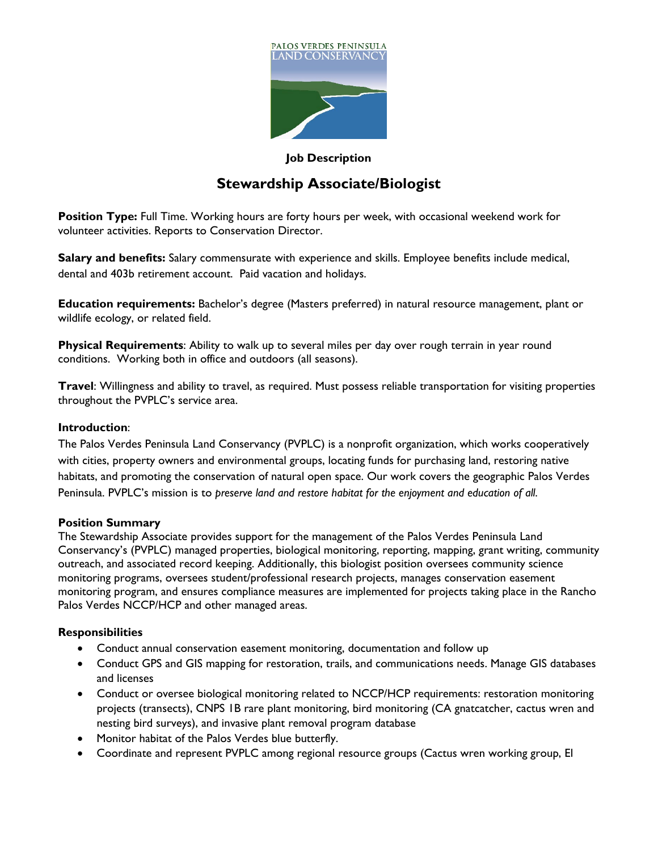

#### **Job Description**

# **Stewardship Associate/Biologist**

**Position Type:** Full Time. Working hours are forty hours per week, with occasional weekend work for volunteer activities. Reports to Conservation Director.

**Salary and benefits:** Salary commensurate with experience and skills. Employee benefits include medical, dental and 403b retirement account. Paid vacation and holidays.

**Education requirements:** Bachelor's degree (Masters preferred) in natural resource management, plant or wildlife ecology, or related field.

**Physical Requirements**: Ability to walk up to several miles per day over rough terrain in year round conditions. Working both in office and outdoors (all seasons).

**Travel**: Willingness and ability to travel, as required. Must possess reliable transportation for visiting properties throughout the PVPLC's service area.

#### **Introduction**:

The Palos Verdes Peninsula Land Conservancy (PVPLC) is a nonprofit organization, which works cooperatively with cities, property owners and environmental groups, locating funds for purchasing land, restoring native habitats, and promoting the conservation of natural open space. Our work covers the geographic Palos Verdes Peninsula. PVPLC's mission is to *preserve land and restore habitat for the enjoyment and education of all*.

## **Position Summary**

The Stewardship Associate provides support for the management of the Palos Verdes Peninsula Land Conservancy's (PVPLC) managed properties, biological monitoring, reporting, mapping, grant writing, community outreach, and associated record keeping. Additionally, this biologist position oversees community science monitoring programs, oversees student/professional research projects, manages conservation easement monitoring program, and ensures compliance measures are implemented for projects taking place in the Rancho Palos Verdes NCCP/HCP and other managed areas.

## **Responsibilities**

- Conduct annual conservation easement monitoring, documentation and follow up
- Conduct GPS and GIS mapping for restoration, trails, and communications needs. Manage GIS databases and licenses
- Conduct or oversee biological monitoring related to NCCP/HCP requirements: restoration monitoring projects (transects), CNPS 1B rare plant monitoring, bird monitoring (CA gnatcatcher, cactus wren and nesting bird surveys), and invasive plant removal program database
- Monitor habitat of the Palos Verdes blue butterfly.
- Coordinate and represent PVPLC among regional resource groups (Cactus wren working group, El